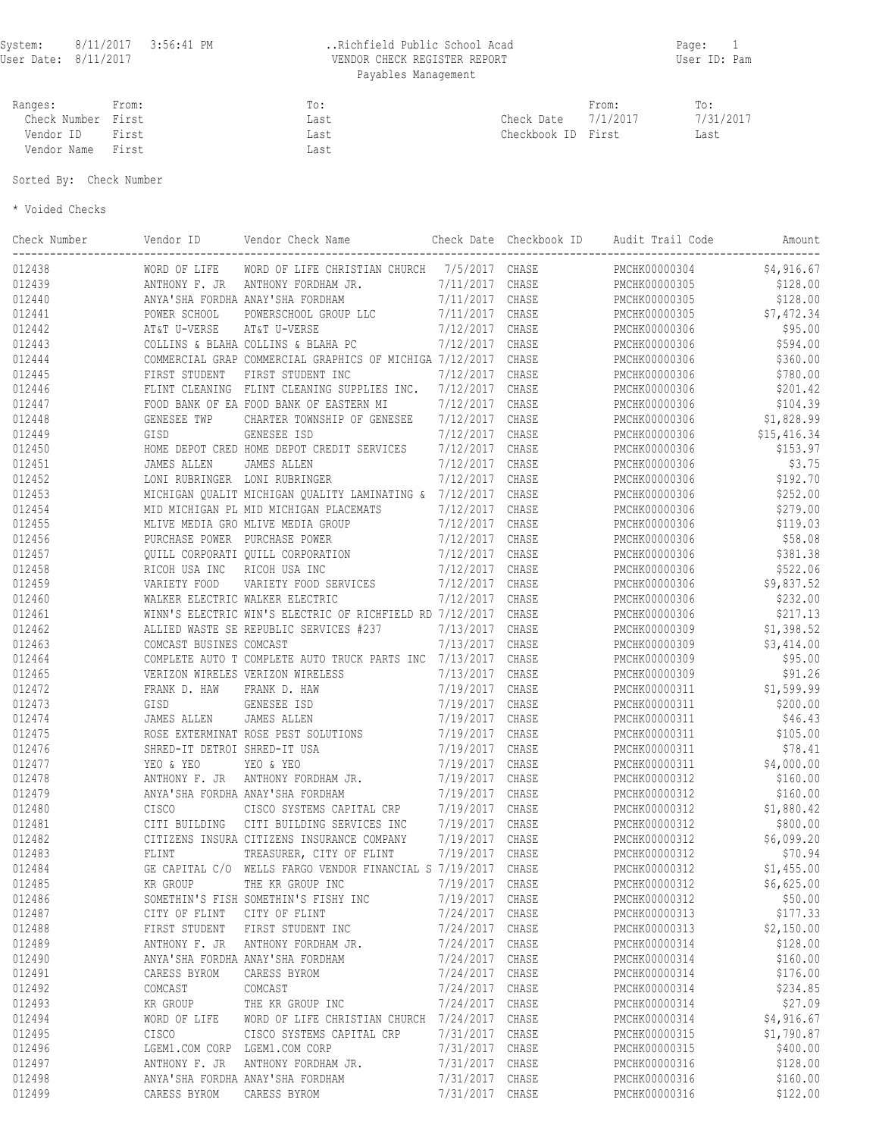## User Date: 8/11/2017 VENDOR CHECK REGISTER REPORT User ID: Pam Payables Management

| Ranges:            | From: | $\blacksquare \cap \bullet$<br>$\overline{\phantom{a}}$ |              | From:    | To:       |
|--------------------|-------|---------------------------------------------------------|--------------|----------|-----------|
| Check Number First |       | Last                                                    | Check Date   | 7/1/2017 | 7/31/2017 |
| Vendor ID          | First | Last                                                    | Checkbook ID | First    | Last      |
| Vendor Name        | First | Last                                                    |              |          |           |

Sorted By: Check Number

\* Voided Checks

| Check Number | Vendor ID                    | Vendor Check Name                                        |                 | Check Date Checkbook ID | Audit Trail Code | Amount      |
|--------------|------------------------------|----------------------------------------------------------|-----------------|-------------------------|------------------|-------------|
| 012438       | WORD OF LIFE                 | WORD OF LIFE CHRISTIAN CHURCH 7/5/2017 CHASE             |                 |                         | PMCHK00000304    | \$4,916.67  |
| 012439       | ANTHONY F. JR                | ANTHONY FORDHAM JR.                                      | 7/11/2017 CHASE |                         | PMCHK00000305    | \$128.00    |
| 012440       |                              | ANYA'SHA FORDHA ANAY'SHA FORDHAM                         | 7/11/2017 CHASE |                         | PMCHK00000305    | \$128.00    |
| 012441       | POWER SCHOOL                 | POWERSCHOOL GROUP LLC                                    | 7/11/2017       | CHASE                   | PMCHK00000305    | \$7,472.34  |
| 012442       | AT&T U-VERSE                 | AT&T U-VERSE                                             | 7/12/2017 CHASE |                         | PMCHK00000306    | \$95.00     |
| 012443       |                              | COLLINS & BLAHA COLLINS & BLAHA PC                       | 7/12/2017       | CHASE                   | PMCHK00000306    | \$594.00    |
| 012444       |                              | COMMERCIAL GRAP COMMERCIAL GRAPHICS OF MICHIGA 7/12/2017 |                 | CHASE                   | PMCHK00000306    | \$360.00    |
| 012445       | FIRST STUDENT                | FIRST STUDENT INC                                        | 7/12/2017       | CHASE                   | PMCHK00000306    | \$780.00    |
| 012446       |                              | FLINT CLEANING FLINT CLEANING SUPPLIES INC.              | 7/12/2017       | CHASE                   | PMCHK00000306    | \$201.42    |
| 012447       |                              | FOOD BANK OF EA FOOD BANK OF EASTERN MI                  | 7/12/2017       | CHASE                   | PMCHK00000306    | \$104.39    |
| 012448       | GENESEE TWP                  | CHARTER TOWNSHIP OF GENESEE                              | 7/12/2017       | CHASE                   | PMCHK00000306    | \$1,828.99  |
| 012449       | GISD                         | GENESEE ISD                                              | 7/12/2017       | CHASE                   | PMCHK00000306    | \$15,416.34 |
| 012450       |                              | HOME DEPOT CRED HOME DEPOT CREDIT SERVICES               | 7/12/2017       | CHASE                   | PMCHK00000306    | \$153.97    |
| 012451       | JAMES ALLEN                  | JAMES ALLEN                                              | 7/12/2017       | CHASE                   | PMCHK00000306    | \$3.75      |
| 012452       |                              | LONI RUBRINGER LONI RUBRINGER                            | 7/12/2017       | CHASE                   | PMCHK00000306    | \$192.70    |
| 012453       |                              | MICHIGAN QUALIT MICHIGAN QUALITY LAMINATING &            | 7/12/2017       | CHASE                   | PMCHK00000306    | \$252.00    |
| 012454       |                              | MID MICHIGAN PL MID MICHIGAN PLACEMATS                   | 7/12/2017       | CHASE                   | PMCHK00000306    | \$279.00    |
| 012455       |                              | MLIVE MEDIA GRO MLIVE MEDIA GROUP                        | 7/12/2017       | CHASE                   | PMCHK00000306    | \$119.03    |
| 012456       |                              | PURCHASE POWER PURCHASE POWER                            | 7/12/2017       | CHASE                   | PMCHK00000306    | \$58.08     |
| 012457       |                              | QUILL CORPORATI QUILL CORPORATION                        | 7/12/2017       | CHASE                   | PMCHK00000306    | \$381.38    |
| 012458       | RICOH USA INC                | RICOH USA INC                                            | 7/12/2017       | CHASE                   | PMCHK00000306    | \$522.06    |
| 012459       | VARIETY FOOD                 | VARIETY FOOD SERVICES                                    | 7/12/2017       | CHASE                   | PMCHK00000306    | \$9,837.52  |
| 012460       |                              | WALKER ELECTRIC WALKER ELECTRIC                          | 7/12/2017       | CHASE                   | PMCHK00000306    | \$232.00    |
|              |                              |                                                          |                 |                         |                  |             |
| 012461       |                              | WINN'S ELECTRIC WIN'S ELECTRIC OF RICHFIELD RD 7/12/2017 |                 | CHASE                   | PMCHK00000306    | \$217.13    |
| 012462       |                              | ALLIED WASTE SE REPUBLIC SERVICES #237                   | 7/13/2017       | CHASE                   | PMCHK00000309    | \$1,398.52  |
| 012463       | COMCAST BUSINES COMCAST      |                                                          | 7/13/2017       | CHASE                   | PMCHK00000309    | \$3,414.00  |
| 012464       |                              | COMPLETE AUTO T COMPLETE AUTO TRUCK PARTS INC 7/13/2017  |                 | CHASE                   | PMCHK00000309    | \$95.00     |
| 012465       |                              | VERIZON WIRELES VERIZON WIRELESS                         | 7/13/2017       | CHASE                   | PMCHK00000309    | \$91.26     |
| 012472       | FRANK D. HAW                 | FRANK D. HAW                                             | 7/19/2017 CHASE |                         | PMCHK00000311    | \$1,599.99  |
| 012473       | GISD                         | GENESEE ISD                                              | 7/19/2017       | CHASE                   | PMCHK00000311    | \$200.00    |
| 012474       | JAMES ALLEN                  | JAMES ALLEN                                              | 7/19/2017       | CHASE                   | PMCHK00000311    | \$46.43     |
| 012475       |                              | ROSE EXTERMINAT ROSE PEST SOLUTIONS                      | 7/19/2017       | CHASE                   | PMCHK00000311    | \$105.00    |
| 012476       | SHRED-IT DETROI SHRED-IT USA |                                                          | 7/19/2017       | CHASE                   | PMCHK00000311    | \$78.41     |
| 012477       | YEO & YEO                    | YEO & YEO                                                | 7/19/2017       | CHASE                   | PMCHK00000311    | \$4,000.00  |
| 012478       | ANTHONY F. JR                | ANTHONY FORDHAM JR.                                      | 7/19/2017       | CHASE                   | PMCHK00000312    | \$160.00    |
| 012479       |                              | ANYA'SHA FORDHA ANAY'SHA FORDHAM                         | 7/19/2017       | CHASE                   | PMCHK00000312    | \$160.00    |
| 012480       | <b>CISCO</b>                 | CISCO SYSTEMS CAPITAL CRP                                | 7/19/2017       | CHASE                   | PMCHK00000312    | \$1,880.42  |
| 012481       | CITI BUILDING                | CITI BUILDING SERVICES INC                               | 7/19/2017       | CHASE                   | PMCHK00000312    | \$800.00    |
| 012482       |                              | CITIZENS INSURA CITIZENS INSURANCE COMPANY               | 7/19/2017       | CHASE                   | PMCHK00000312    | \$6,099.20  |
| 012483       | FLINT                        | TREASURER, CITY OF FLINT                                 | 7/19/2017       | CHASE                   | PMCHK00000312    | \$70.94     |
| 012484       |                              | GE CAPITAL C/O WELLS FARGO VENDOR FINANCIAL S 7/19/2017  |                 | CHASE                   | PMCHK00000312    | \$1,455.00  |
| 012485       | KR GROUP                     | THE KR GROUP INC                                         | 7/19/2017 CHASE |                         | PMCHK00000312    | \$6,625.00  |
| 012486       |                              | SOMETHIN'S FISH SOMETHIN'S FISHY INC                     | 7/19/2017       | CHASE                   | PMCHK00000312    | \$50.00     |
| 012487       | CITY OF FLINT                | CITY OF FLINT                                            | 7/24/2017 CHASE |                         | PMCHK00000313    | \$177.33    |
| 012488       | FIRST STUDENT                | FIRST STUDENT INC                                        | 7/24/2017 CHASE |                         | PMCHK00000313    | \$2,150.00  |
| 012489       | ANTHONY F. JR                | ANTHONY FORDHAM JR.                                      | 7/24/2017 CHASE |                         | PMCHK00000314    | \$128.00    |
| 012490       |                              | ANYA'SHA FORDHA ANAY'SHA FORDHAM                         | 7/24/2017 CHASE |                         | PMCHK00000314    | \$160.00    |
| 012491       | CARESS BYROM                 | CARESS BYROM                                             | 7/24/2017 CHASE |                         | PMCHK00000314    | \$176.00    |
| 012492       | COMCAST                      | COMCAST                                                  | 7/24/2017 CHASE |                         | PMCHK00000314    | \$234.85    |
| 012493       | KR GROUP                     | THE KR GROUP INC                                         | 7/24/2017       | CHASE                   | PMCHK00000314    | \$27.09     |
|              |                              |                                                          |                 |                         |                  |             |
| 012494       | WORD OF LIFE                 | WORD OF LIFE CHRISTIAN CHURCH                            | 7/24/2017       | CHASE                   | PMCHK00000314    | \$4,916.67  |
| 012495       | CISCO                        | CISCO SYSTEMS CAPITAL CRP                                | 7/31/2017 CHASE |                         | PMCHK00000315    | \$1,790.87  |
| 012496       |                              | LGEM1.COM CORP LGEM1.COM CORP                            | 7/31/2017 CHASE |                         | PMCHK00000315    | \$400.00    |
| 012497       | ANTHONY F. JR                | ANTHONY FORDHAM JR.                                      | 7/31/2017 CHASE |                         | PMCHK00000316    | \$128.00    |
| 012498       |                              | ANYA'SHA FORDHA ANAY'SHA FORDHAM                         | 7/31/2017 CHASE |                         | PMCHK00000316    | \$160.00    |
| 012499       | CARESS BYROM                 | CARESS BYROM                                             | 7/31/2017 CHASE |                         | PMCHK00000316    | \$122.00    |